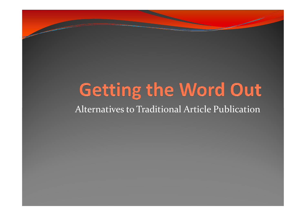# Getting the Word Out

Alternatives to Traditional Article Publication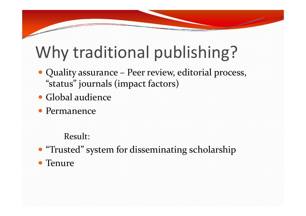## Why traditional publishing?

- Quality assurance Peer review, editorial process, "status" journals (impact factors)
- Global audience
- Permanence

#### Result:

- "Trusted" system for disseminating scholarship
- Tenure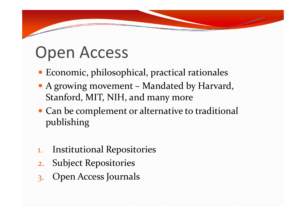## Open Access

- Economic, philosophical, practical rationales
- A growing movement Mandated by Harvard, Stanford, MIT, NIH, and many more
- Can be complement or alternative to traditional publishing
- 1.Institutional Repositories
- 2.Subject Repositories
- 3.Open Access Journals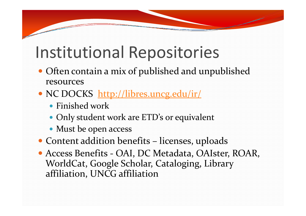#### Institutional Repositories

- Often contain a mix of published and unpublished resources
- NC DOCKS http://libres.uncg.edu/ir/
	- Finished work
	- Only student work are ETD's or equivalent
	- Must be open access
- Content addition benefits licenses, uploads
- Access Benefits OAI, DC Metadata, OAIster, ROAR, WorldCat, Google Scholar, Cataloging, Library affiliation, UNCG affiliation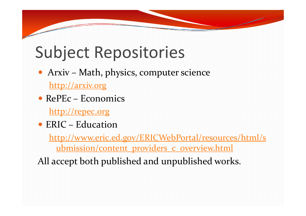### Subject Repositories

- Arxiv Math, physics, computer science http://arxiv.org
- RePEc Economics http://repec.org
- ERIC Education

 http://www.eric.ed.gov/ERICWebPortal/resources/html/submission/content\_providers\_c\_overview.html

All accept both published and unpublished works.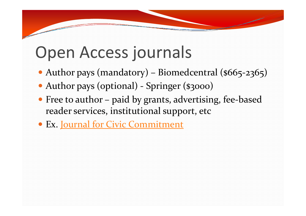#### Open Access journals

- Author pays (mandatory) Biomedcentral (\$665-2365)
- Author pays (optional) Springer (\$3000)
- Free to author paid by grants, advertising, fee-based reader services, institutional support, etc
- Ex. Journal for Civic Commitment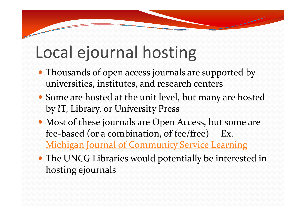#### Local ejournal hosting

- Thousands of open access journals are supported by universities, institutes, and research centers
- Some are hosted at the unit level, but many are hosted by IT, Library, or University Press
- Most of these journals are Open Access, but some are fee-based (or a combination, of fee/free) Ex. Michigan Journal of Community Service Learning
- The UNCG Libraries would potentially be interested in hosting ejournals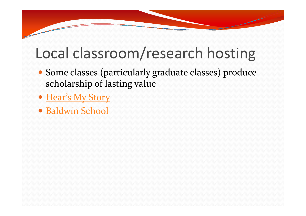#### Local classroom/research hosting

- Some classes (particularly graduate classes) produce scholarship of lasting value
- <u>Hear's My Story</u>
- <u>Baldwin School</u>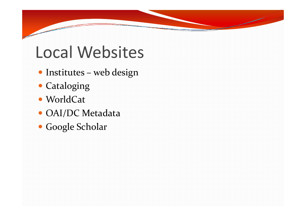#### Local Websites

- Institutes web design
- Cataloging
- WorldCat
- OAI/DC Metadata
- Google Scholar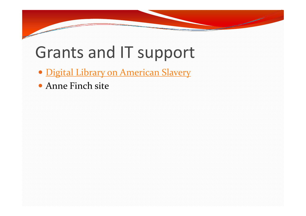#### Grants and IT support

- Digital Library on American Slavery
- Anne Finch site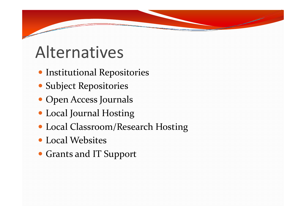## Alternatives

- Institutional Repositories
- Subject Repositories
- Open Access Journals
- Local Journal Hosting
- Local Classroom/Research Hosting
- Local Websites
- Grants and IT Support